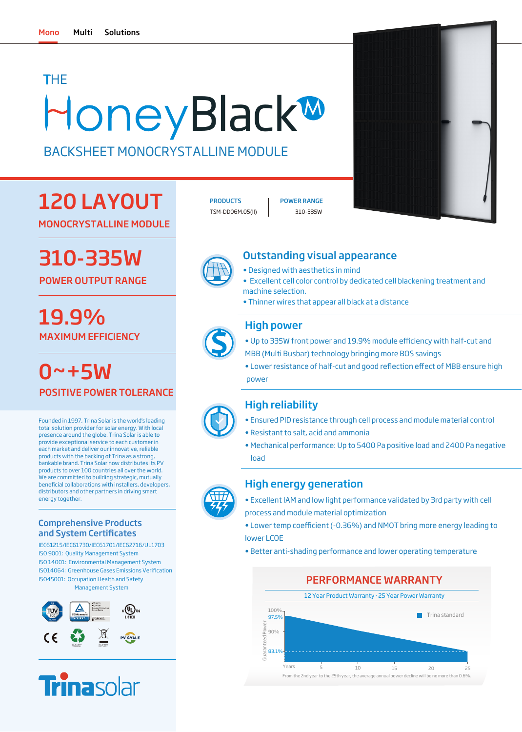# **HoneyBlack<sup>M</sup>** THE

BACKSHEET MONOCRYSTALLINE MODULE

## 120 LAYOUT

MONOCRYSTALLINE MODULE

# 310-335W

POWER OUTPUT RANGE

## MAXIMUM EFFICIENCY 19.9%

 $0 - +5W$ POSITIVE POWER TOLERANCE

Founded in 1997, Trina Solar is the world's leading total solution provider for solar energy. With local presence around the globe, Trina Solar is able to provide exceptional service to each customer in each market and deliver our innovative, reliable products with the backing of Trina as a strong, bankable brand. Trina Solar now distributes its PV products to over 100 countries all over the world. We are committed to building strategic, mutually beneficial collaborations with installers, developers, distributors and other partners in driving smart energy together.

#### Comprehensive Products and System Certificates

IEC61215/IEC61730/IEC61701/IEC62716/UL1703 ISO 9001: Quality Management System ISO 14001: Environmental Management System ISO14064: Greenhouse Gases Emissions Verification ISO45001: Occupation Health and Safety Management System





EU-28 WEEE COMPLIANT RECYCLABLE PACKAGING

TSM-DD06M.05(II) 310-335W PRODUCTS | POWER RANGE





### Outstanding visual appearance

- Designed with aesthetics in mind
- Excellent cell color control by dedicated cell blackening treatment and machine selection.
- Thinner wires that appear all black at a distance

### High power

- Up to 335W front power and 19.9% module efficiency with half-cut and MBB (Multi Busbar) technology bringing more BOS savings
- Lower resistance of half-cut and good reflection effect of MBB ensure high power



## High reliability

- Ensured PID resistance through cell process and module material control
- Resistant to salt, acid and ammonia
- Mechanical performance: Up to 5400 Pa positive load and 2400 Pa negative load

#### High energy generation

- Excellent IAM and low light performance validated by 3rd party with cell process and module material optimization
- Lower temp coefficient (-0.36%) and NMOT bring more energy leading to lower LCOE
- Better anti-shading performance and lower operating temperature